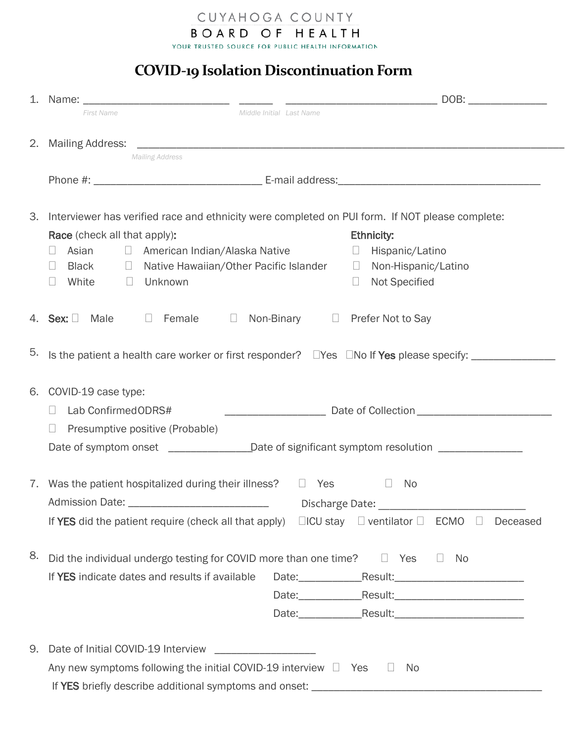BOARD OF HEALTH

CUYAHOGA COUNTY

YOUR TRUSTED SOURCE FOR PUBLIC HEALTH INFORMATION

## **COVID-19 Isolation Discontinuation Form**

|    | Middle Initial Last Name<br><b>First Name</b>                                                                               |  |  |  |  |  |  |
|----|-----------------------------------------------------------------------------------------------------------------------------|--|--|--|--|--|--|
|    |                                                                                                                             |  |  |  |  |  |  |
|    | <b>Mailing Address</b>                                                                                                      |  |  |  |  |  |  |
|    |                                                                                                                             |  |  |  |  |  |  |
|    |                                                                                                                             |  |  |  |  |  |  |
| 3. | Interviewer has verified race and ethnicity were completed on PUI form. If NOT please complete:                             |  |  |  |  |  |  |
|    | <b>Ethnicity:</b><br>Race (check all that apply):<br>Asian <b>I</b> American Indian/Alaska Native<br>□ Hispanic/Latino<br>П |  |  |  |  |  |  |
|    | □ Native Hawaiian/Other Pacific Islander □ Non-Hispanic/Latino<br>Black<br>$\Box$                                           |  |  |  |  |  |  |
|    | White<br>Unknown<br><b>Not Specified</b><br>$\Box$<br>$\Box$<br>U.                                                          |  |  |  |  |  |  |
|    |                                                                                                                             |  |  |  |  |  |  |
|    | 4. Sex: Male 5 Female 5<br>Non-Binary □ Prefer Not to Say                                                                   |  |  |  |  |  |  |
| 5. |                                                                                                                             |  |  |  |  |  |  |
|    |                                                                                                                             |  |  |  |  |  |  |
| 6. | COVID-19 case type:                                                                                                         |  |  |  |  |  |  |
|    | Lab ConfirmedODRS#<br>$\Box$                                                                                                |  |  |  |  |  |  |
|    | Presumptive positive (Probable)<br>$\Box$                                                                                   |  |  |  |  |  |  |
|    | Date of symptom onset _______________________Date of significant symptom resolution ________________                        |  |  |  |  |  |  |
|    |                                                                                                                             |  |  |  |  |  |  |
|    | 7. Was the patient hospitalized during their illness?<br>$\Box$ Yes<br>No<br>$\Box$                                         |  |  |  |  |  |  |
|    | Admission Date: _<br>Discharge Date:                                                                                        |  |  |  |  |  |  |
|    | If YES did the patient require (check all that apply) $\Box$ ICU stay $\Box$ ventilator $\Box$ ECMO $\Box$ Deceased         |  |  |  |  |  |  |
| 8. | Did the individual undergo testing for COVID more than one time?<br>$\Box$ Yes<br>$\Box$<br>- No                            |  |  |  |  |  |  |
|    | If YES indicate dates and results if available<br>Date: Result: 2000 Result: 2000                                           |  |  |  |  |  |  |
|    |                                                                                                                             |  |  |  |  |  |  |
|    |                                                                                                                             |  |  |  |  |  |  |
|    |                                                                                                                             |  |  |  |  |  |  |
| 9. |                                                                                                                             |  |  |  |  |  |  |
|    | Any new symptoms following the initial COVID-19 interview $\Box$ Yes<br>No<br>$\Box$                                        |  |  |  |  |  |  |
|    |                                                                                                                             |  |  |  |  |  |  |